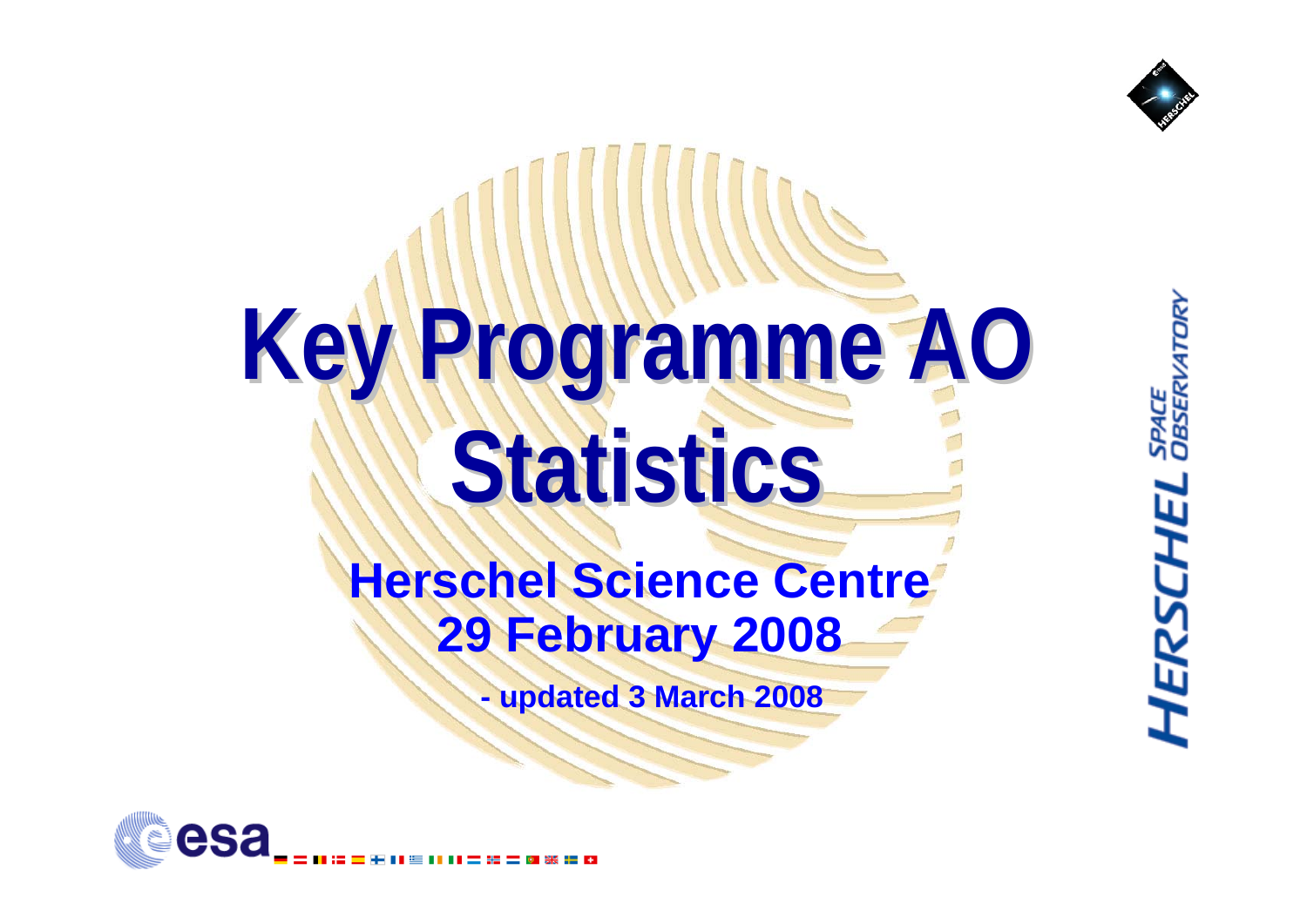

**HERSCHEL** SPACE

# **Key Programme Programme AO Statistics Statistics**

#### **Herschel Science Centre 29 February 2008**

**- updated 3 March 2008**

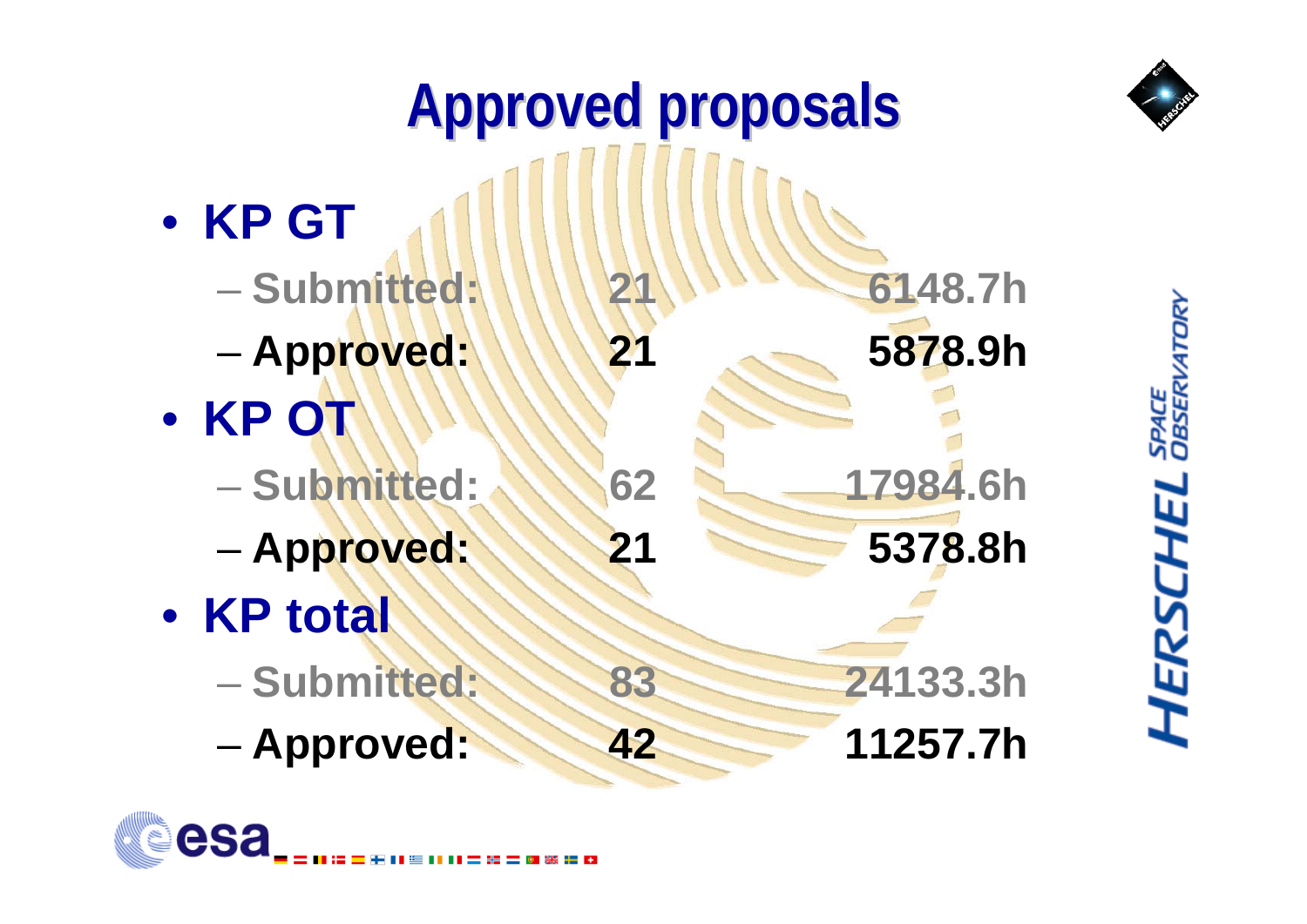



SPACE<br>OBSERVATI **HERSCHEL**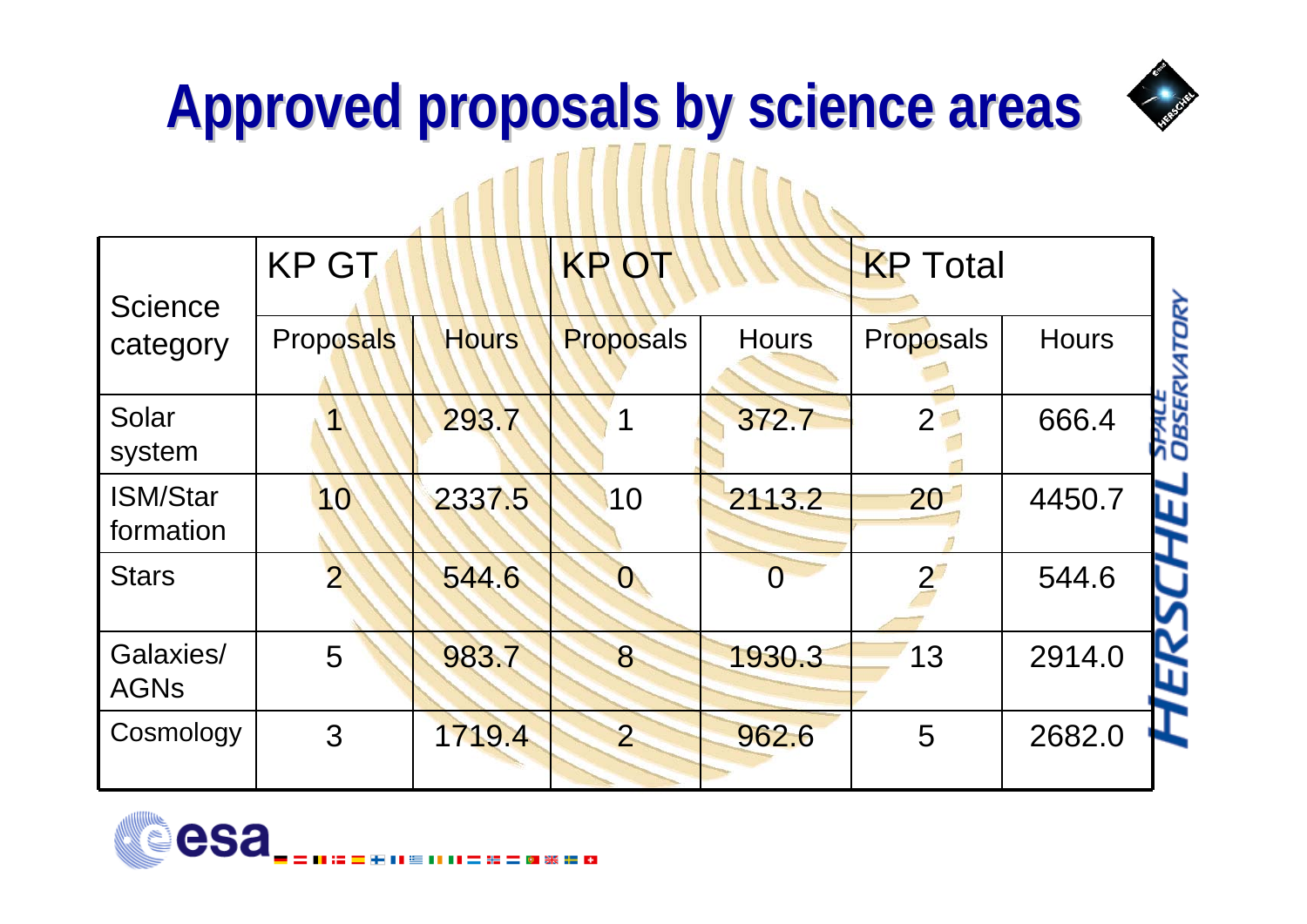

# **Approved Approved proposals proposals by science science areas**

| <b>Science</b>               | <b>KP GT</b>     |              | <b>KP OT</b>     |                | <b>KP</b> Total |              |                         |
|------------------------------|------------------|--------------|------------------|----------------|-----------------|--------------|-------------------------|
| category                     | <b>Proposals</b> | <b>Hours</b> | <b>Proposals</b> | <b>Hours</b>   | Proposals       | <b>Hours</b> | <b>ATORY</b>            |
| Solar<br>system              |                  | 293.7        |                  | 372.7          | 2 <sup>1</sup>  | 666.4        | <b>OBSERV</b><br>OBSERV |
| <b>ISM/Star</b><br>formation | 10               | 2337.5       | 10               | 2113.2         | 20              | 4450.7       | ш                       |
| <b>Stars</b>                 | $\overline{2}$   | 544.6        | $\boldsymbol{0}$ | $\overline{0}$ |                 | 544.6        |                         |
| Galaxies/<br><b>AGNs</b>     | 5                | 983.7        | 8                | 1930.3         | 13              | 2914.0       |                         |
| Cosmology                    | 3                | 1719.4       | $\overline{2}$   | 962.6          | 5               | 2682.0       |                         |

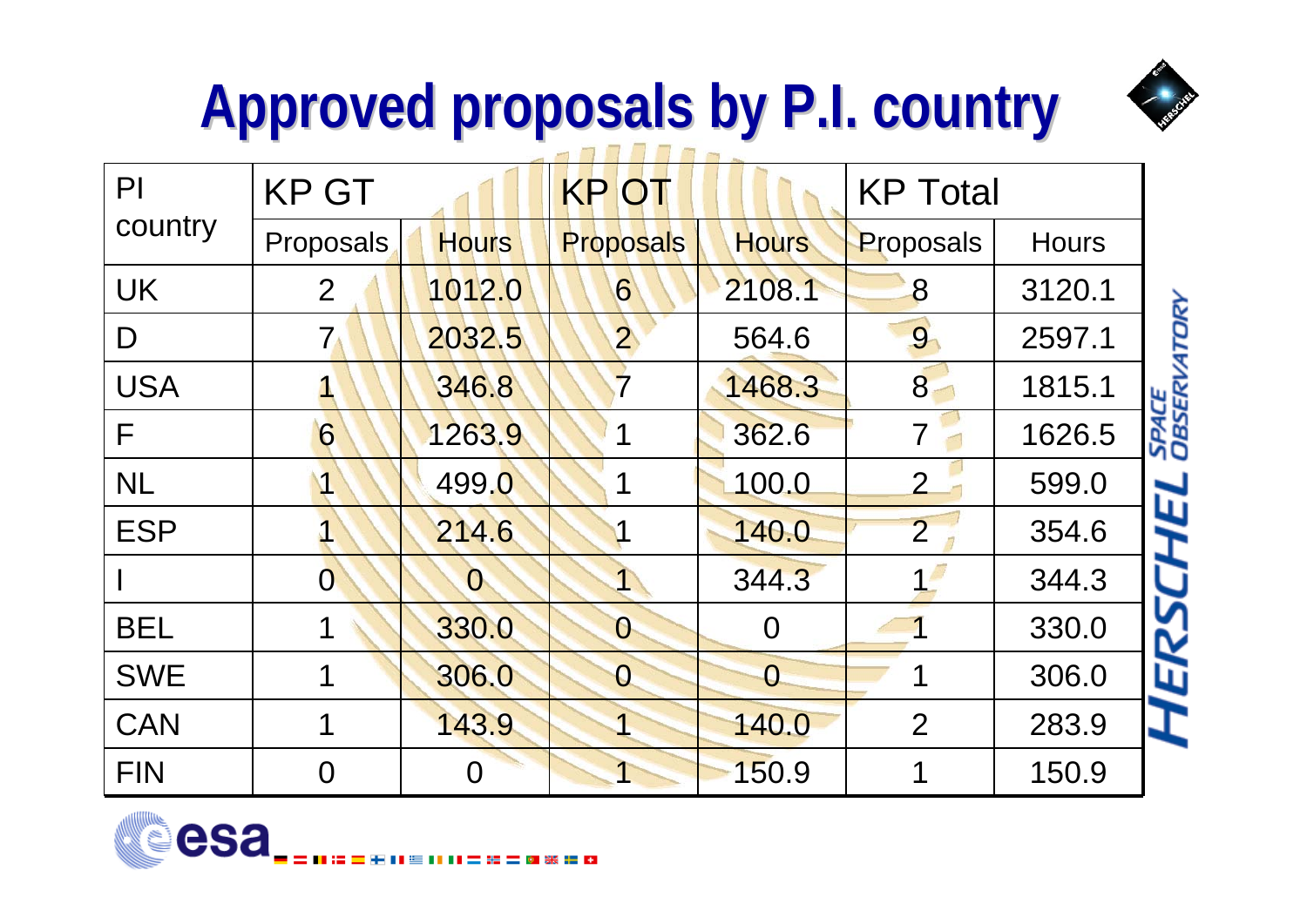## **Approved Approved proposals proposals by P.I. country . country**



**DISSERVATOR** 

| $\mathsf{Pl}$ | <b>KP GT</b>   |              | <b>KPOT</b>      | <b>KP Total</b> |                |              |                 |
|---------------|----------------|--------------|------------------|-----------------|----------------|--------------|-----------------|
| country       | Proposals      | <b>Hours</b> | <b>Proposals</b> | <b>Hours</b>    | Proposals      | <b>Hours</b> |                 |
| <b>UK</b>     | $\overline{2}$ | 1012.0       | 6                | 2108.1          | 8              | 3120.1       |                 |
| D             | $7\,$          | 2032.5       | $\mathbf{2}$     | 564.6           | 9              | 2597.1       | <b>ATORY</b>    |
| <b>USA</b>    |                | 346.8        | $\overline{7}$   | 1468.3          | 8              | 1815.1       |                 |
| F             | 6              | 1263.9       |                  | 362.6           | 7              | 1626.5       | SPACE<br>OBSERV |
| <b>NL</b>     |                | 499.0        |                  | 100.0           | $\overline{2}$ | 599.0        | 叮               |
| <b>ESP</b>    |                | 214.6        |                  | 140.0           | $\overline{2}$ | 354.6        |                 |
|               | $\overline{0}$ | $\mathbf{0}$ |                  | 344.3           |                | 344.3        |                 |
| <b>BEL</b>    |                | 330.0        | $\mathcal{O}$    | $\overline{0}$  |                | 330.0        | ERS             |
| <b>SWE</b>    |                | 306.0        | $\overline{0}$   | $\overline{O}$  |                | 306.0        |                 |
| <b>CAN</b>    |                | 143.9        |                  | 140.0           | $\overline{2}$ | 283.9        |                 |
| <b>FIN</b>    | O              | 0            |                  | 150.9           |                | 150.9        |                 |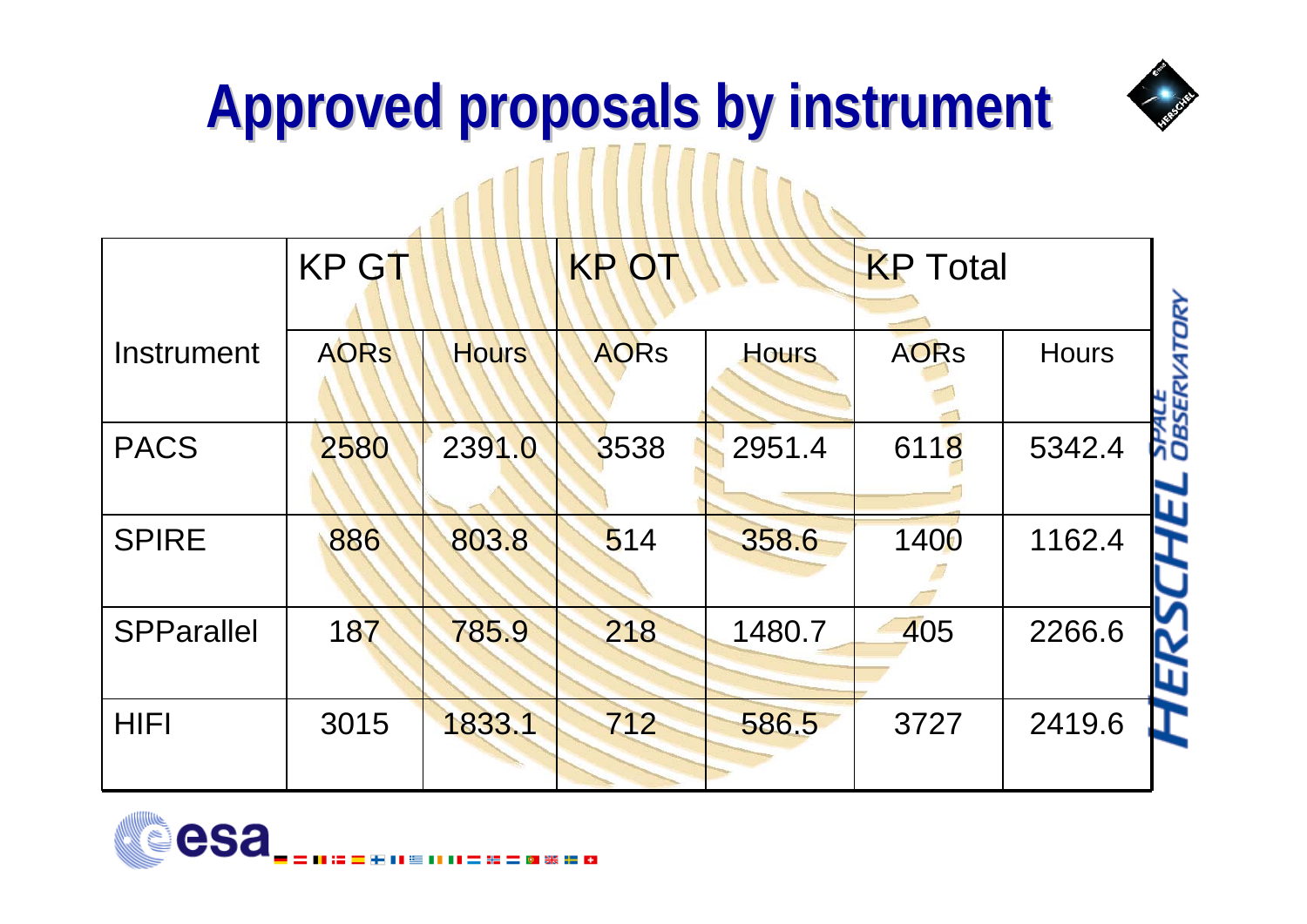

### **Approved Approved proposals proposals by instrument instrument** ANTILIA INTERNATIONAL

|                   | <b>KP GT</b> |              | <b>KPOT</b> |        | <b>KP</b> Total |              |
|-------------------|--------------|--------------|-------------|--------|-----------------|--------------|
| Instrument        | <b>AORS</b>  | <b>Hours</b> | <b>AORS</b> | Hours  | <b>AORS</b>     | <b>Hours</b> |
| <b>PACS</b>       | 2580         | 2391.0       | 3538        | 2951.4 | 6118            | 5342.4       |
| <b>SPIRE</b>      | 886          | 803.8        | 514         | 358.6  | 1400            | 1162.4       |
| <b>SPParallel</b> | 187          | 785.9        | 218         | 1480.7 | 405             | 2266.6       |
| <b>HIFI</b>       | 3015         | 1833.1       | 712         | 586.5  | 3727            | 2419.6       |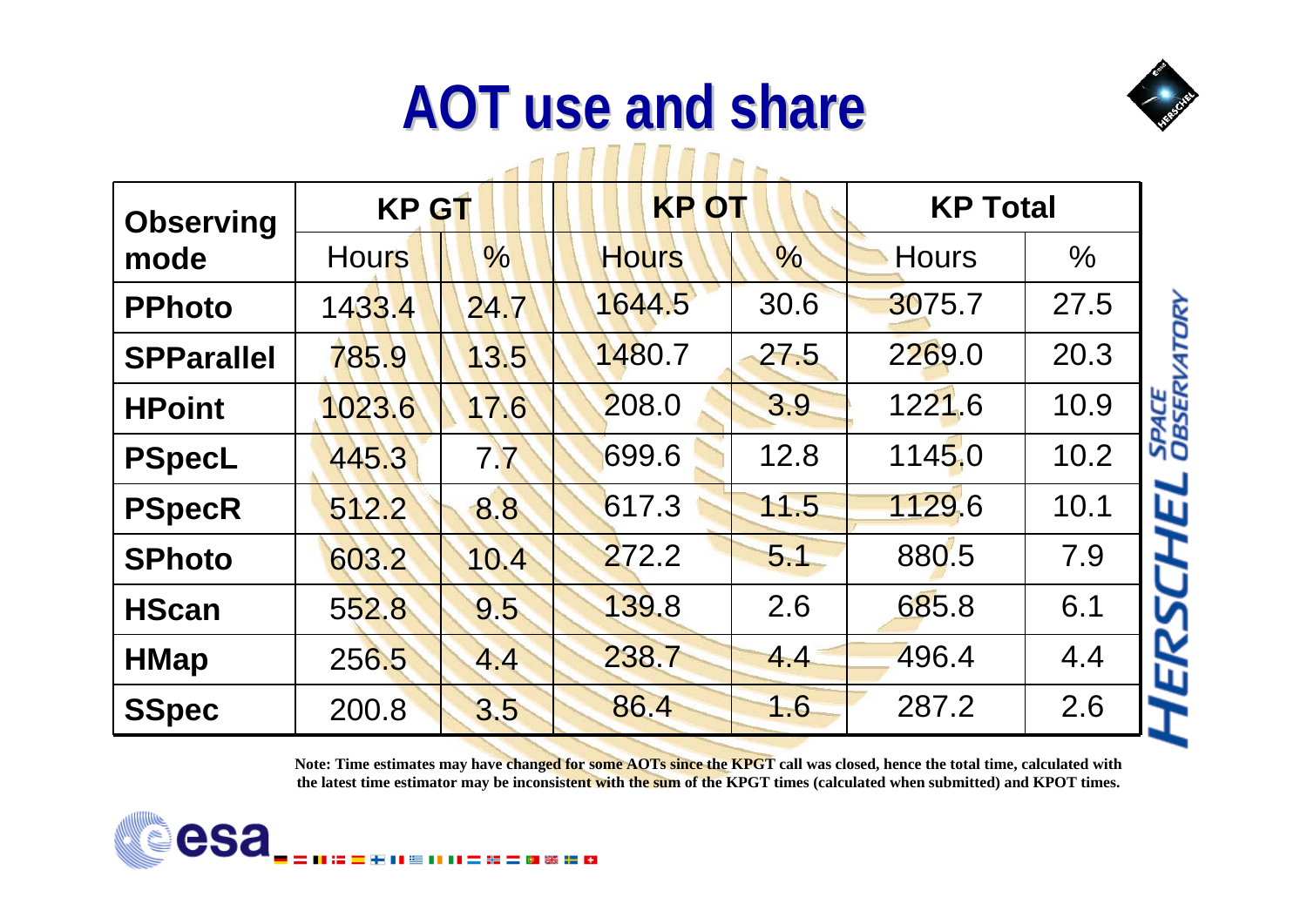#### **AOT use AOT use and share** 1111111111

| <b>Observing</b>  | <b>KP GT</b> |               | <b>KP OT</b> |               | <b>KP Total</b> |               |                 |
|-------------------|--------------|---------------|--------------|---------------|-----------------|---------------|-----------------|
| mode              | <b>Hours</b> | $\frac{0}{0}$ | <b>Hours</b> | $\frac{1}{2}$ | <b>Hours</b>    | $\frac{0}{6}$ |                 |
| <b>PPhoto</b>     | 1433.4       | 24.7          | 1644.5       | 30.6          | 3075.7          | 27.5          | 4TORY           |
| <b>SPParallel</b> | 785.9        | 13.5          | 1480.7       | 27.5          | 2269.0          | 20.3          |                 |
| <b>HPoint</b>     | 1023.6       | 17.6          | 208.0        | 3.9           | 1221.6          | 10.9          | SPACE<br>Observ |
| <b>PSpecL</b>     | 445.3        | 7.7           | 699.6        | 12.8          | <b>1145.0</b>   | 10.2          |                 |
| <b>PSpecR</b>     | 512.2        | 8.8           | 617.3        | 11.5          | 1129.6          | 10.1          | L               |
| <b>SPhoto</b>     | 603.2        | 10.4          | 272.2        | 5.1           | 880.5           | 7.9           |                 |
| <b>HScan</b>      | 552.8        | 9.5           | 139.8        | 2.6           | 685.8           | 6.1           |                 |
| <b>HMap</b>       | 256.5        | 4.4           | 238.7        | 4.4           | 496.4           | 4.4           | W               |
| <b>SSpec</b>      | 200.8        | 3.5           | 86.4         | 16            | 287.2           | 2.6           |                 |

Note: Time estimates may have changed for some AOTs since the KPGT call was closed, hence the total time, calculated with the latest time estimator may be inconsistent with the sum of the KPGT times (calculated when submitted) and KPOT times.

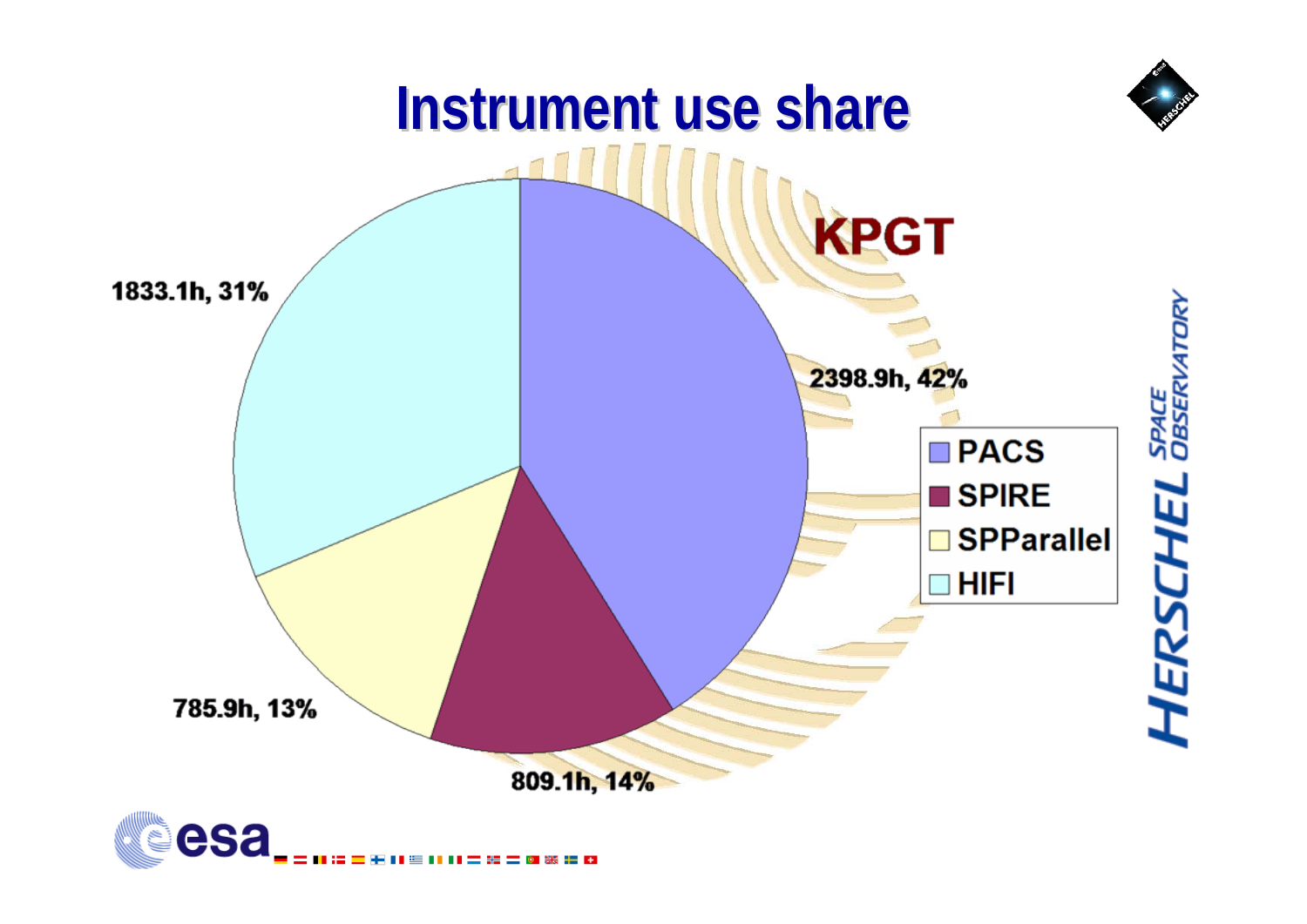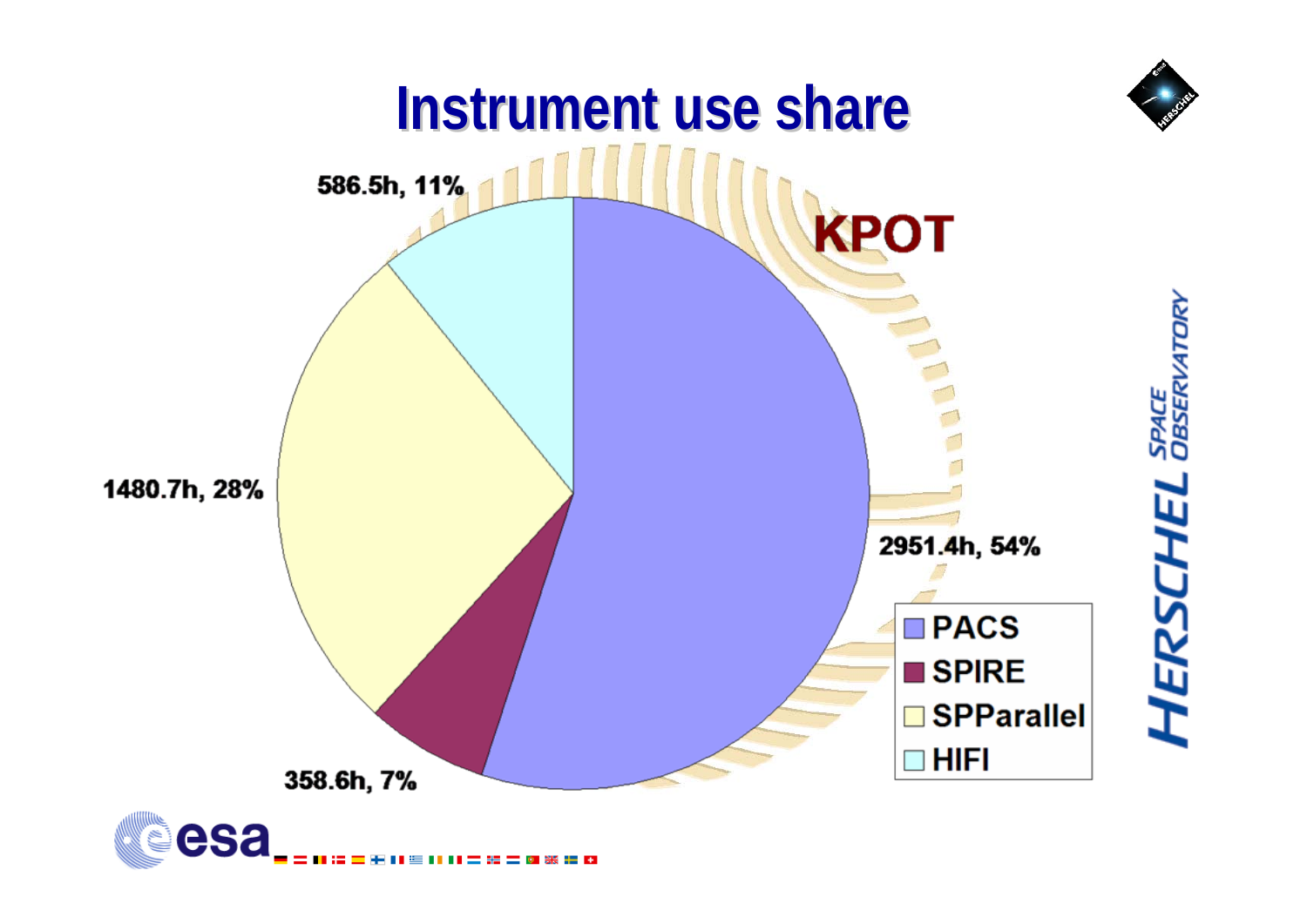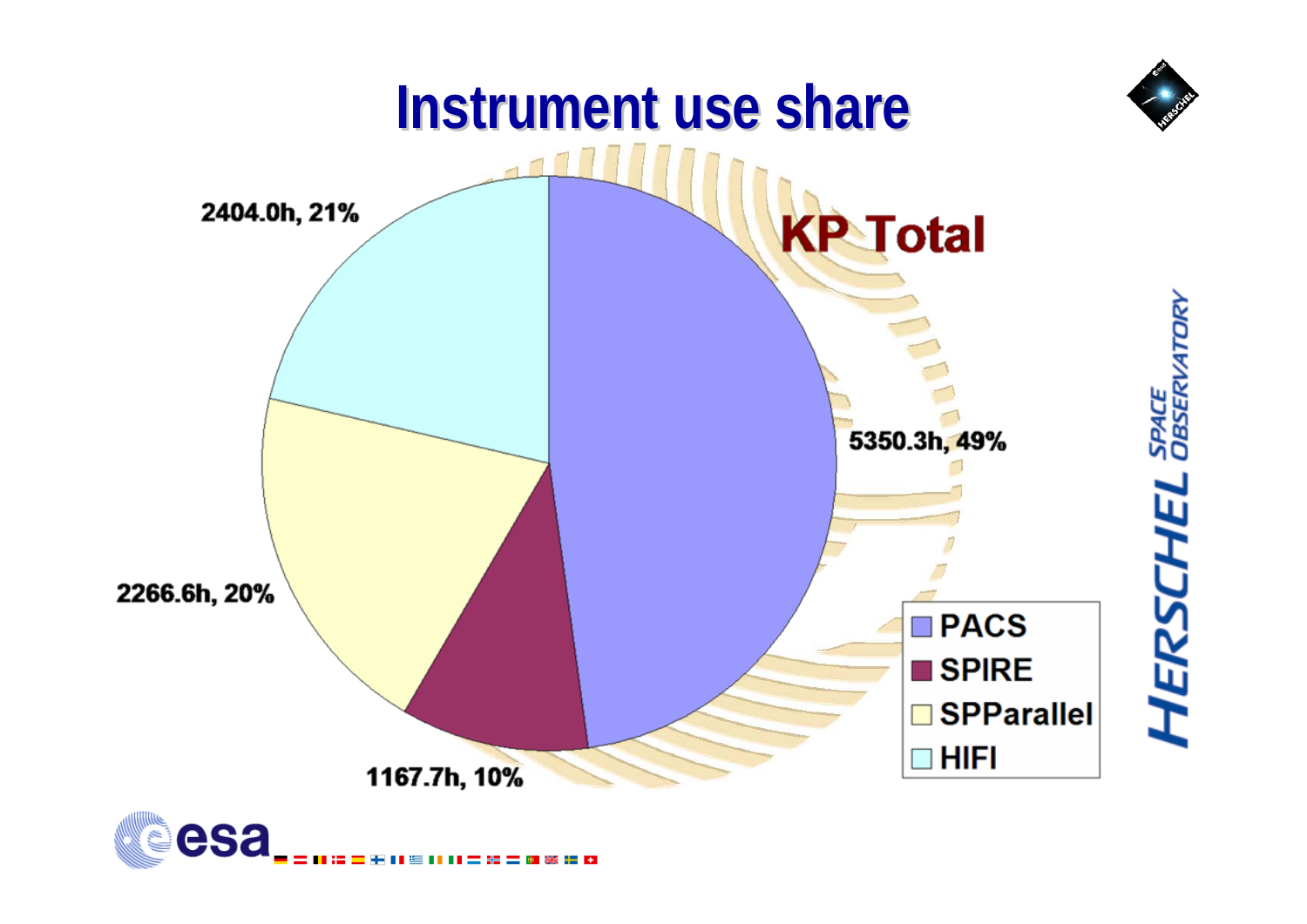